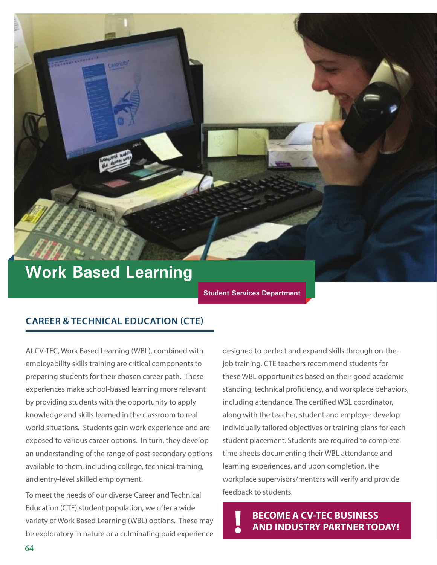# **Work Based Learning**

**Student Services Department**

#### **CAREER & TECHNICAL EDUCATION (CTE)**

At CV-TEC, Work Based Learning (WBL), combined with employability skills training are critical components to preparing students for their chosen career path. These experiences make school-based learning more relevant by providing students with the opportunity to apply knowledge and skills learned in the classroom to real world situations. Students gain work experience and are exposed to various career options. In turn, they develop an understanding of the range of post-secondary options available to them, including college, technical training, and entry-level skilled employment.

To meet the needs of our diverse Career and Technical Education (CTE) student population, we offer a wide variety of Work Based Learning (WBL) options. These may be exploratory in nature or a culminating paid experience

designed to perfect and expand skills through on-thejob training. CTE teachers recommend students for these WBL opportunities based on their good academic standing, technical proficiency, and workplace behaviors, including attendance. The certified WBL coordinator, along with the teacher, student and employer develop individually tailored objectives or training plans for each student placement. Students are required to complete time sheets documenting their WBL attendance and learning experiences, and upon completion, the workplace supervisors/mentors will verify and provide feedback to students.

**BECOME A CV-TEC BUSINESS ! AND INDUSTRY PARTNER TODAY!**